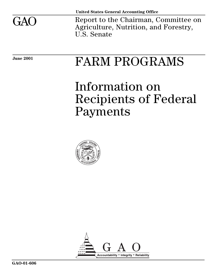

Report to the Chairman, Committee on Agriculture, Nutrition, and Forestry, U.S. Senate

# June 2001 **FARM PROGRAMS**

# Information on Recipients of Federal Payments



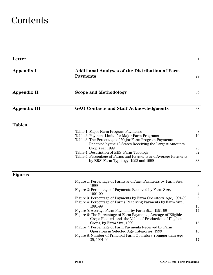## **Contents**

| Letter              |                                                                                                                                                                       | $\mathbf{1}$   |
|---------------------|-----------------------------------------------------------------------------------------------------------------------------------------------------------------------|----------------|
| <b>Appendix I</b>   | <b>Additional Analyses of the Distribution of Farm</b><br><b>Payments</b>                                                                                             | 29             |
| <b>Appendix II</b>  | <b>Scope and Methodology</b>                                                                                                                                          | 35             |
| <b>Appendix III</b> | <b>GAO Contacts and Staff Acknowledgments</b>                                                                                                                         | 38             |
| <b>Tables</b>       |                                                                                                                                                                       |                |
|                     | Table 1: Major Farm Program Payments                                                                                                                                  | 8              |
|                     | Table 2: Payment Limits for Major Farm Programs<br>Table 3: The Percentage of Major Farm Program Payments<br>Received by the 12 States Receiving the Largest Amounts, | 10             |
|                     | Crop Year 1999                                                                                                                                                        | $25\,$         |
|                     | Table 4: Description of ERS' Farm Typology                                                                                                                            | 32             |
|                     | Table 5: Percentage of Farms and Payments and Average Payments<br>by ERS' Farm Typology, 1993 and 1999                                                                | 33             |
| <b>Figures</b>      |                                                                                                                                                                       |                |
|                     | Figure 1: Percentage of Farms and Farm Payments by Farm Size,                                                                                                         |                |
|                     | 1999<br>Figure 2: Percentage of Payments Received by Farm Size,                                                                                                       | 3              |
|                     | 1991-99                                                                                                                                                               | $\overline{4}$ |
|                     | Figure 3: Percentage of Payments by Farm Operators' Age, 1991-99<br>Figure 4: Percentage of Farms Receiving Payments by Farm Size,                                    | 5              |
|                     | 1991-99<br>Figure 5: Average Farm Payment by Farm Size, 1991-99                                                                                                       | 13<br>14       |
|                     | Figure 6: The Percentage of Farm Payments, Acreage of Eligible<br>Crops Planted, and the Value of Production of Eligible                                              |                |
|                     | Crops, by Farm Size, 1999<br>Figure 7: Percentage of Farm Payments Received by Farm                                                                                   | 15             |
|                     | Operators in Selected Age Categories, 1999                                                                                                                            | 16             |
|                     | Figure 8: Number of Principal Farm Operators Younger than Age<br>35, 1991-99                                                                                          | 17             |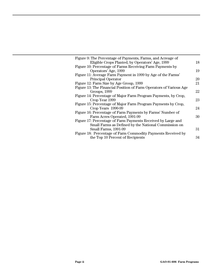| Figure 9: The Percentage of Payments, Farms, and Acreage of        |    |
|--------------------------------------------------------------------|----|
| Eligible Crops Planted, by Operators' Age, 1999                    | 18 |
| Figure 10: Percentage of Farms Receiving Farm Payments by          |    |
| Operators' Age, 1999                                               | 19 |
| Figure 11: Average Farm Payment in 1999 by Age of the Farms'       |    |
| <b>Principal Operator</b>                                          | 20 |
| Figure 12: Farm Size by Age Group, 1999                            | 21 |
| Figure 13: The Financial Position of Farm Operators of Various Age |    |
| Groups, 1999                                                       | 22 |
| Figure 14: Percentage of Major Farm Program Payments, by Crop,     |    |
| Crop Year 1999                                                     | 23 |
| Figure 15: Percentage of Major Farm Program Payments by Crop,      |    |
| Crop Years 1990-99                                                 | 24 |
| Figure 16: Percentage of Farm Payments by Farms' Number of         |    |
| Farm Acres Operated, 1991-99                                       | 30 |
| Figure 17: Percentage of Farm Payments Received by Large and       |    |
| Small Farms as Defined by the National Commission on               |    |
| Small Farms, 1991-99                                               | 31 |
| Figure 18: Percentage of Farm Commodity Payments Received by       |    |
| the Top 10 Percent of Recipients                                   | 34 |
|                                                                    |    |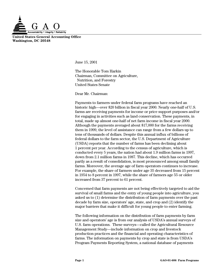

**United States General Accounting Office Washington, DC 20548**

June 15, 2001

The Honorable Tom Harkin Chairman, Committee on Agriculture, Nutrition, and Forestry United States Senate

Dear Mr. Chairman:

Payments to farmers under federal farm programs have reached an historic high—over \$20 billion in fiscal year 2000. Nearly one-half of U.S. farms are receiving payments for income or price support purposes and/or for engaging in activities such as land conservation. These payments, in total, made up almost one-half of net farm income in fiscal year 2000. Although the payments averaged about \$17,000 for the farms receiving them in 1999, the level of assistance can range from a few dollars up to tens of thousands of dollars. Despite this annual influx of billions of federal dollars to the farm sector, the U.S. Department of Agriculture (USDA) reports that the number of farms has been declining about 1 percent per year. According to the census of agriculture, which is conducted every 5 years, the nation had about 1.9 million farms in 1997, down from 2.1 million farms in 1987. This decline, which has occurred partly as a result of consolidation, is most pronounced among small family farms. Moreover, the average age of farm operators continues to increase. For example, the share of farmers under age 35 decreased from 15 percent in 1954 to 8 percent in 1997, while the share of farmers age 55 or older increased from 37 percent to 61 percent.

Concerned that farm payments are not being effectively targeted to aid the survival of small farms and the entry of young people into agriculture, you asked us to (1) determine the distribution of farm payments over the past decade by farm size, operators' age, state, and crop and (2) identify the major barriers that make it difficult for young people to enter farming.

The following information on the distribution of farm payments by farm size and operators' age is from our analysis of USDA's annual surveys of U.S. farm operations. These surveys—called the Agricultural Resource Management Study—include information on crop and livestock production practices and the financial and operating characteristics of farms. The information on payments by crop and state is from USDA's Program Payments Reporting System, a national database of payments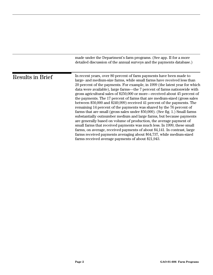|                  | made under the Department's farm programs. (See app. II for a more<br>detailed discussion of the annual surveys and the payments database.)                                                                                                                                                                                                                                                                                                                                                                                                                                                                                                                                                                                                                                                                                                                                                                                                                                                                                                                                                                                                 |
|------------------|---------------------------------------------------------------------------------------------------------------------------------------------------------------------------------------------------------------------------------------------------------------------------------------------------------------------------------------------------------------------------------------------------------------------------------------------------------------------------------------------------------------------------------------------------------------------------------------------------------------------------------------------------------------------------------------------------------------------------------------------------------------------------------------------------------------------------------------------------------------------------------------------------------------------------------------------------------------------------------------------------------------------------------------------------------------------------------------------------------------------------------------------|
| Results in Brief | In recent years, over 80 percent of farm payments have been made to<br>large- and medium-size farms, while small farms have received less than<br>20 percent of the payments. For example, in 1999 (the latest year for which<br>data were available), large farms—the 7 percent of farms nationwide with<br>gross agricultural sales of \$250,000 or more—received about 45 percent of<br>the payments. The 17 percent of farms that are medium-sized (gross sales<br>between \$50,000 and \$249,999) received 41 percent of the payments. The<br>remaining 14 percent of the payments was shared by the 76 percent of<br>farms that are small (gross sales under \$50,000). (See fig. 1.) Small farms<br>substantially outnumber medium and large farms, but because payments<br>are generally based on volume of production, the average payment of<br>small farms that received payments was much less. In 1999, these small<br>farms, on average, received payments of about \$4,141. In contrast, large<br>farms received payments averaging about \$64,737, while medium-sized<br>farms received average payments of about \$21,943. |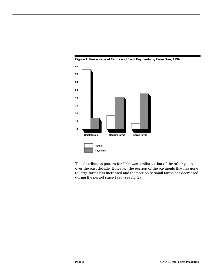

**Figure 1: Percentage of Farms and Farm Payments by Farm Size, 1999**

This distribution pattern for 1999 was similar to that of the other years over the past decade. However, the portion of the payments that has gone to large farms has increased and the portion to small farms has decreased during the period since 1996 (see fig. 2).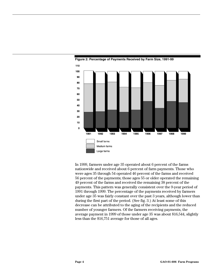

**Figure 2: Percentage of Payments Received by Farm Size, 1991-99**

In 1999, farmers under age 35 operated about 6 percent of the farms nationwide and received about 6 percent of farm payments. Those who were ages 35 through 54 operated 46 percent of the farms and received 56 percent of the payments; those ages 55 or older operated the remaining 49 percent of the farms and received the remaining 38 percent of the payments. This pattern was generally consistent over the 9-year period of 1991 through 1999. The percentage of the payments received by farmers under age 35 was fairly constant over the past 3 years, although lower than during the first part of the period. (See fig. 3.) At least some of this decrease can be attributed to the aging of the recipients and the reduced number of younger farmers. Of the farmers receiving payments, the average payment in 1999 of those under age 35 was about \$16,544, slightly less than the \$16,751 average for those of all ages.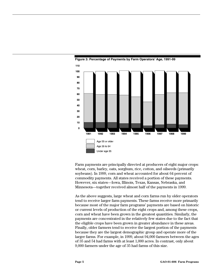

**Figure 3: Percentage of Payments by Farm Operators' Age, 1991-99**

Farm payments are principally directed at producers of eight major crops: wheat, corn, barley, oats, sorghum, rice, cotton, and oilseeds (primarily soybeans). In 1999, corn and wheat accounted for about 64 percent of commodity payments. All states received a portion of these payments. However, six states—Iowa, Illinois, Texas, Kansas, Nebraska, and Minnesota—together received almost half of the payments in 1999.

As the above suggests, large wheat and corn farms run by older operators tend to receive larger farm payments. These farms receive more primarily because most of the major farm programs' payments are based on historic or current levels of production of the eight crops and, among these crops, corn and wheat have been grown in the greatest quantities. Similarly, the payments are concentrated in the relatively few states due to the fact that the eligible crops have been grown in greater abundance in these areas. Finally, older farmers tend to receive the largest portion of the payments because they are the largest demographic group and operate more of the larger farms. For example, in 1999, about 94,000 farmers between the ages of 35 and 54 had farms with at least 1,000 acres. In contrast, only about 9,000 farmers under the age of 35 had farms of this size.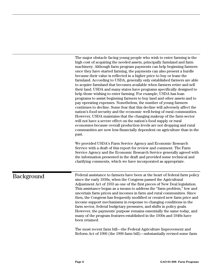The major obstacle facing young people who wish to enter farming is the high cost of acquiring the needed assets, principally farmland and farm machinery. Although farm program payments can help beginning farmers once they have started farming, the payments can also present a hurdle because their value is reflected in a higher price to buy or lease the farmland. According to USDA, generally only established farmers are able to acquire farmland that becomes available when farmers retire and sell their land. USDA and many states have programs specifically designed to help those wishing to enter farming. For example, USDA has loan programs to assist beginning farmers to buy land and other assets and to pay operating expenses. Nonetheless, the number of young farmers continues to decline. Some fear that this decline will adversely affect the nation's food security and the economic well-being of rural communities. However, USDA maintains that the changing makeup of the farm sector will not have a severe effect on the nation's food supply or rural economies because overall production levels are not dropping and rural communities are now less financially dependent on agriculture than in the past.

We provided USDA's Farm Service Agency and Economic Research Service with a draft of this report for review and comment. The Farm Service Agency and the Economic Research Service generally agreed with the information presented in the draft and provided some technical and clarifying comments, which we have incorporated as appropriate.

## Background

Federal assistance to farmers have been at the heart of federal farm policy since the early 1930s, when the Congress passed the Agricultural Adjustment Act of 1933 as one of the first pieces of New Deal legislation. This assistance began as a means to address the "farm problem," low and uncertain farm prices and incomes in farm and rural communities. Since then, the Congress has frequently modified or created new farm price and income support mechanisms in response to changing conditions in the farm sector, federal budgetary pressures, and shifts in policy goals. However, the payments' purpose remains essentially the same today, and many of the program features established in the 1930s and 1940s have been retained.

The most recent farm bill—the Federal Agriculture Improvement and Reform Act of 1996 (the 1996 farm bill)—substantially revised some farm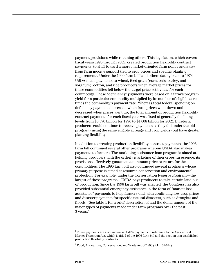payment provisions while retaining others. This legislation, which covers fiscal years 1996 through 2002, created production flexibility contract payments<sup>1</sup> to shift toward a more market-oriented farm policy and away from farm income support tied to crop prices and specific planting requirements. Under the 1990 farm bill<sup>2</sup> and others dating back to 1973, USDA made payments to wheat, feed grain (corn, oats, barley, and sorghum), cotton, and rice producers when average market prices for these commodities fell below the target price set by law for each commodity. These "deficiency" payments were based on a farm's program yield for a particular commodity multiplied by its number of eligible acres times the commodity's payment rate. Whereas total federal spending on deficiency payments increased when farm prices went down and decreased when prices went up, the total amount of production flexibility contract payments for each fiscal year was fixed at generally declining levels from \$5.570 billion for 1996 to \$4.008 billion for 2002. In return, producers could continue to receive payments as they did under the old program (using the same eligible acreage and crop yields) but have greater planting flexibility.

In addition to creating production flexibility contract payments, the 1996 farm bill continued several other programs wherein USDA also makes payments to farmers. The marketing assistance loan program is aimed at helping producers with the orderly marketing of their crops. In essence, its provisions effectively guarantee a minimum price or return for the commodities. The 1996 farm bill also continued several programs whose primary purpose is aimed at resource conservation and environmental protection. For example, under the Conservation Reserve Program—the largest of these programs—USDA pays producers to take certain land out of production. Since the 1996 farm bill was enacted, the Congress has also provided substantial emergency assistance in the form of "market loss assistance" payments to help farmers deal with continuing low crop prices and disaster payments for specific natural disasters, such as droughts and floods. (See table 1 for a brief description of and the dollar amount of the major types of payments made under farm programs over the past 3 years.)

<sup>|&</sup>lt;br>1  $1$ <sup>1</sup> These payments are also known as AMTA payments in reference to the Agricultural Market Transition Act, which is title I of the 1996 farm bill and the section that established production flexibility contracts.

 $^2$  Food, Agriculture, Conservation, and Trade Act of 1990 (P.L. 101-624).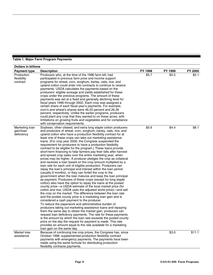| <b>Dollars in billions</b>                |                                                                                                                                                                                                                                                                                                                                                                                                                                                                                                                                                                                                                                                                                                                                                                                                                                                                                                                                                                                                                                                                                                                                                                                                                                                                                                                                                                                                                                                                                                                                                                                                                                                                                                                                                                                                                                                                                                                                       |         |         |         |
|-------------------------------------------|---------------------------------------------------------------------------------------------------------------------------------------------------------------------------------------------------------------------------------------------------------------------------------------------------------------------------------------------------------------------------------------------------------------------------------------------------------------------------------------------------------------------------------------------------------------------------------------------------------------------------------------------------------------------------------------------------------------------------------------------------------------------------------------------------------------------------------------------------------------------------------------------------------------------------------------------------------------------------------------------------------------------------------------------------------------------------------------------------------------------------------------------------------------------------------------------------------------------------------------------------------------------------------------------------------------------------------------------------------------------------------------------------------------------------------------------------------------------------------------------------------------------------------------------------------------------------------------------------------------------------------------------------------------------------------------------------------------------------------------------------------------------------------------------------------------------------------------------------------------------------------------------------------------------------------------|---------|---------|---------|
| <b>Payment type</b>                       | <b>Description</b>                                                                                                                                                                                                                                                                                                                                                                                                                                                                                                                                                                                                                                                                                                                                                                                                                                                                                                                                                                                                                                                                                                                                                                                                                                                                                                                                                                                                                                                                                                                                                                                                                                                                                                                                                                                                                                                                                                                    | FY 1998 | FY 1999 | FY 2000 |
| Production<br>flexibility<br>contract     | Producers who, at the time of the 1996 farm bill, had<br>participated in previous farm price and income support<br>programs for wheat, corn, sorghum, barley, oats, rice, and<br>upland cotton could enter into contracts to continue to receive<br>payments. USDA calculates the payments based on the<br>producers' eligible acreage and yields established for these<br>crops under the previous programs. The amount of these<br>payments was set at a fixed and generally declining level for<br>fiscal years 1996 through 2002. Each crop was assigned a<br>certain share of each fiscal year's payments. For example,<br>corn's and wheat's shares were 46.22 percent and 26.26<br>percent, respectively. Unlike the earlier programs, producers<br>could plant any crop that they wanted to on these acres, with<br>limitations on growing fruits and vegetables and for compliance<br>with conservation requirements.                                                                                                                                                                                                                                                                                                                                                                                                                                                                                                                                                                                                                                                                                                                                                                                                                                                                                                                                                                                                        | \$5.7   | \$5.5   | \$5.1   |
| Marketing loan<br>gain/loan<br>deficiency | Soybean, other oilseed, and extra long staple cotton producers<br>and producers of wheat, corn, sorghum, barley, oats, rice, and<br>upland cotton who have a production flexibility contract for at<br>least one of these crops can take out marketing assistance<br>loans. (For crop year 2000, the Congress suspended the<br>requirement for producers to have a production flexibility<br>contract to be eligible for the program.) These loans provide<br>short-term financing to help farmers pay their bills after harvest<br>and spread crop sales over the entire marketing year, when<br>prices may be higher. A producer pledges the crop as collateral<br>and receives a loan based on the crop amount multiplied by a<br>loan rate for each unit of eligible production. Producers can<br>repay the loan's principal and interest within the loan period<br>(usually 9 months), or they can forfeit the crop to the<br>government when the loan matures and keep the loan principal<br>as payment. Producers of these crops (except for long staple<br>cotton) also have the option to repay the loans at the posted<br>county price—a USDA estimate of the local market price (for<br>cotton and rice, USDA uses the adjusted world price)—and sell<br>the crop on the market. The difference between the loan rate<br>and the posted county price is a marketing loan gain and is<br>considered a cash payment to the producer.<br>To reduce the paperwork and administrative burden of<br>producers taking out marketing assistance loans and repaying<br>them the same day to obtain the market gain, producers can<br>request loan deficiency payments. The rate for these payments<br>is the amount by which the loan rate exceeds the posted county<br>price on the day the request for payment is made. This rate<br>provides an amount equal to the rate available for a marketing<br>loan gain on the same day. | \$0.6   | \$4.4   | \$8.1   |
| Market loss<br>assistance                 | Because of continuing low crop prices, the Congress has, since<br>October 1998, supplemented production flexibility contract<br>payments with emergency payments. The payments have been<br>made using the same formula for distributing production<br>flexibility contracts payments.                                                                                                                                                                                                                                                                                                                                                                                                                                                                                                                                                                                                                                                                                                                                                                                                                                                                                                                                                                                                                                                                                                                                                                                                                                                                                                                                                                                                                                                                                                                                                                                                                                                |         | \$3.0   | \$11.1  |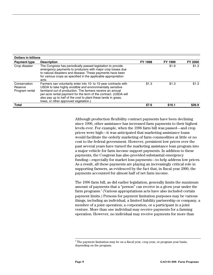| <b>Dollars in billions</b>                |                                                                                                                                                                                                                                                                                                                                                                            |                |                |                |
|-------------------------------------------|----------------------------------------------------------------------------------------------------------------------------------------------------------------------------------------------------------------------------------------------------------------------------------------------------------------------------------------------------------------------------|----------------|----------------|----------------|
| <b>Payment type</b>                       | <b>Description</b>                                                                                                                                                                                                                                                                                                                                                         | <b>FY 1998</b> | <b>FY 1999</b> | <b>FY 2000</b> |
| Crop disaster                             | The Congress has periodically passed legislation to provide<br>emergency payments to producers with major crop losses due<br>to natural disasters and disease. These payments have been<br>for various crops as specified in the applicable appropriation<br>acts.                                                                                                         |                | \$1.9          | \$1.3          |
| Conservation<br>Reserve<br>Program rental | Farmers can voluntarily enter into 10- to 15-year contracts with<br>USDA to take highly erodible and environmentally sensitive<br>farmland out of production. The farmers receive an annual<br>per-acre rental payment for the term of the contract. (USDA will<br>also pay up to half of the cost to plant these lands in grass,<br>trees, or other approved vegetation.) | \$1.3          | \$1.3          | \$1.3          |
| <b>Total</b>                              |                                                                                                                                                                                                                                                                                                                                                                            | \$7.6          | \$16.1         | \$26.9         |

Although production flexibility contract payments have been declining since 1996, other assistance has increased farm payments to their highest levels ever. For example, when the 1996 farm bill was passed—and crop prices were high—it was anticipated that marketing assistance loans would facilitate the orderly marketing of farm commodities at little or no cost to the federal government. However, persistent low prices over the past several years have turned the marketing assistance loan program into a major vehicle for farm income support payments. In addition to these payments, the Congress has also provided substantial emergency funding—especially for market loss payments—to help address low prices. As a result, all these payments are playing an increasingly critical role in supporting farmers, as evidenced by the fact that, in fiscal year 2000, the payments accounted for almost half of net farm income.

The 1996 farm bill, as did earlier legislation, generally limits the maximum amount of payments that a "person" can receive in a given year under the farm programs.<sup>3</sup> (Various appropriations acts have also included certain payment limits.) Persons for payment limitation purposes may be various things, including an individual, a limited liability partnership or company, a member of a joint operation; a corporation, or a participant in a joint venture. More than one individual may receive payments for a farming operation. However, no individual may receive payments for more than

<sup>-&</sup>lt;br>3  $3$  The payment limitation may be on a fiscal year, crop year, or program year basis, depending on the program.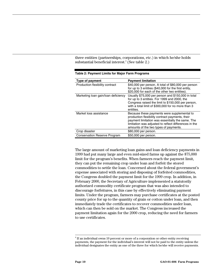three entities (partnerships, corporations, etc.) in which he/she holds substantial beneficial interest. $4$  (See table 2.)

| Type of payment                     | <b>Payment limitation</b>                                                                                                                                                                                                                            |
|-------------------------------------|------------------------------------------------------------------------------------------------------------------------------------------------------------------------------------------------------------------------------------------------------|
| Production flexibility contract     | \$40,000 per person. A total of \$80,000 per person<br>for up to 3 entities (\$40,000 for the first entity,<br>\$20,000 for each of the other two entities).                                                                                         |
| Marketing loan gain/loan deficiency | Usually \$75,000 per person and \$150,000 in total<br>for up to 3 entities. For 1999 and 2000, the<br>Congress raised the limit to \$150,000 per person,<br>with a total limit of \$300,000 for no more than 3<br>entities.                          |
| Market loss assistance              | Because these payments were supplemental to<br>production flexibility contract payments, their<br>payment limitation was essentially the same. The<br>limitation was adjusted to reflect differences in the<br>amounts of the two types of payments. |
| Crop disaster                       | \$80,000 per person.                                                                                                                                                                                                                                 |
| <b>Conservation Reserve Program</b> | \$50,000 per person.                                                                                                                                                                                                                                 |

|  |  |  |  |  |  | Table 2: Payment Limits for Major Farm Programs |
|--|--|--|--|--|--|-------------------------------------------------|
|--|--|--|--|--|--|-------------------------------------------------|

The large amount of marketing loan gains and loan deficiency payments in 1999 had put many large and even mid-sized farms up against the \$75,000 limit for the program's benefits. When farmers reach the payment limit, they can put the remaining crop under loan and forfeit the stored commodities to settle the loan. Concerned about the federal government's expense associated with storing and disposing of forfeited commodities, the Congress doubled the payment limit for the 1999 crop. In addition, in February 2000, the Secretary of Agriculture implemented a statutorily authorized commodity certificate program that was also intended to discourage forfeitures, in this case by effectively eliminating payment limits. Under the program, farmers may purchase certificates at the posted county price for up to the quantity of grain or cotton under loan, and then immediately trade the certificates to recover commodities under loan, which can then be sold on the market. The Congress increased the payment limitation again for the 2000 crop, reducing the need for farmers to use certificates.

 <sup>4</sup>  $<sup>4</sup>$  If an individual owns 10 percent or more of a corporation or other entity receiving</sup> payments, the payment for the individual's interest will not be paid to the entity unless the individual designates the entity as one of the three for which he/she will receive payments.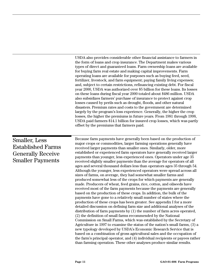USDA also provides considerable other financial assistance to farmers in the form of loans and crop insurance. The Department makes various types of direct and guaranteed loans. Farm ownership loans are available for buying farm real estate and making capital improvements. Farm operating loans are available for purposes such as buying feed, seed, fertilizer, livestock, and farm equipment; paying family living expenses; and, subject to certain restrictions, refinancing existing debt. For fiscal year 2000, USDA was authorized over \$5 billion for these loans. Its losses on these loans during fiscal year 2000 totaled about \$486 million. USDA also subsidizes farmers' purchase of insurance to protect against crop losses caused by perils such as drought, floods, and other natural disasters. Premium rates and costs to the government are determined largely by the program's loss experience. Generally, the higher the crop losses, the higher the premiums in future years. From 1981 through 1998, USDA paid farmers \$14.1 billion for insured crop losses, which was partly offset by the premiums that farmers paid.

#### Because farm payments have generally been based on the production of major crops or commodities, larger farming operations generally have received larger payments than smaller ones. Similarly, older, more established or experienced farm operators have generally received larger payments than younger, less experienced ones. Operators under age 35 received slightly smaller payments than the average for operators of all ages and several thousand dollars less than operators ages 35 through 54. Although the younger, less experienced operators were spread across all sizes of farms, on average, they had somewhat smaller farms and produced somewhat less of the crops for which payments are generally made. Producers of wheat, feed grains, rice, cotton, and oilseeds have received most of the farm payments because the payments are generally based on the production of these crops. In addition, the bulk of the payments have gone to a relatively small number of states where the production of these crops has been greater. See appendix I for a more detailed discussion on defining farm size and additional analyses of the distribution of farm payments by (1) the number of farm acres operated, (2) the definition of small farms recommended by the National Commission on Small Farms, which was established by the Secretary of Agriculture in 1997 to examine the status of the nation's small farms, (3) a Smaller, Less Established Farms Generally Receive Smaller Payments

new typology developed by USDA's Economic Research Service that is based on a combination of gross agricultural sales and the occupation of the farm's principal operator, and (4) individual recipients or payees rather than farming operation. These other analyses produce similar results.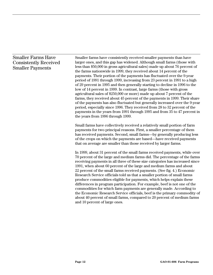## Smaller Farms Have Consistently Received Smaller Payments

Smaller farms have consistently received smaller payments than have larger ones, and this gap has widened. Although small farms (those with less than \$50,000 in gross agricultural sales) made up about 76 percent of the farms nationwide in 1999, they received about 14 percent of the payments. Their portion of the payments has fluctuated over the 9-year period of 1991 through 1999, increasing from 23 percent in 1991 to a high of 29 percent in 1995 and then generally starting to decline in 1996 to the low of 14 percent in 1999. In contrast, large farms (those with gross agricultural sales of \$250,000 or more) made up about 7 percent of the farms, they received about 45 percent of the payments in 1999. Their share of the payments has also fluctuated but generally increased over the 9-year period, especially since 1996. They received from 28 to 32 percent of the payments in the years from 1991 through 1995 and from 35 to 47 percent in the years from 1996 through 1999.

Small farms have collectively received a relatively small portion of farm payments for two principal reasons. First, a smaller percentage of them has received payments. Second, small farms—by generally producing less of the crops on which the payments are based—have received payments that on average are smaller than those received by larger farms.

In 1999, about 31 percent of the small farms received payments, while over 70 percent of the large and medium farms did. The percentage of the farms receiving payments in all three of these size categories has increased since 1991, when about 60 percent of the large and medium farms and about 22 percent of the small farms received payments. (See fig. 4.) Economic Research Service officials told us that a smaller portion of small farms produce commodities eligible for payments, which helps explain these differences in program participation. For example, beef is not one of the commodities for which farm payments are generally made. According to the Economic Research Service officials, beef is the primary commodity of about 40 percent of small farms, compared to 20 percent of medium farms and 10 percent of large ones.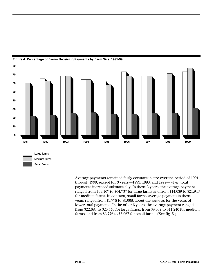

**Figure 4: Percentage of Farms Receiving Payments by Farm Size, 1991-99**

Average payments remained fairly constant in size over the period of 1991 through 1999, except for 3 years—1993, 1998, and 1999—when total payments increased substantially. In these 3 years, the average payment ranged from \$39,167 to \$64,737 for large farms and from \$14,039 to \$21,943 for medium farms. In contrast, small farms' average payment in these years ranged from \$3,778 to \$5,068, about the same as for the years of lower total payments. In the other 6 years, the average payment ranged from \$22,683 to \$26,540 for large farms, from \$9,037 to \$11,240 for medium farms, and from \$3,776 to \$5,067 for small farms. (See fig. 5.)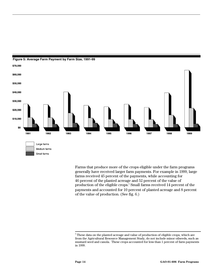



Farms that produce more of the crops eligible under the farm programs generally have received larger farm payments. For example in 1999, large farms received 45 percent of the payments, while accounting for 46 percent of the planted acreage and 52 percent of the value of production of the eligible crops.<sup>5</sup> Small farms received 14 percent of the payments and accounted for 10 percent of planted acreage and 8 percent of the value of production. (See fig. 6.)

<sup>-&</sup>lt;br>5  $^{\rm 5}$  These data on the planted acreage and value of production of eligible crops, which are from the Agricultural Resource Management Study, do not include minor oilseeds, such as mustard seed and canola. These crops accounted for less than 1 percent of farm payments in 1999.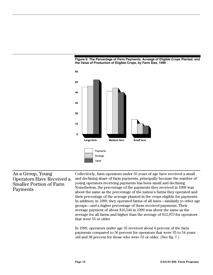



## As a Group, Young Operators Have Received a Smaller Portion of Farm Payments

Collectively, farm operators under 35 years of age have received a small and declining share of farm payments, principally because the number of young operators receiving payments has been small and declining. Nonetheless, the percentage of the payments they received in 1999 was about the same as the percentage of the nation's farms they operated and their percentage of the acreage planted in the crops eligible for payments. In addition, in 1999, they operated farms of all sizes—similarly to other age groups—and a higher percentage of them received payments. Their average payment of about \$16,544 in 1999 was about the same as the average for all farms and higher than the average of \$12,973 for operators that were 55 or older.

In 1999, operators under age 35 received about 6 percent of the farm payments compared to 56 percent for operators that were 35 to 54 years old and 38 percent for those who were 55 or older. (See fig. 7.)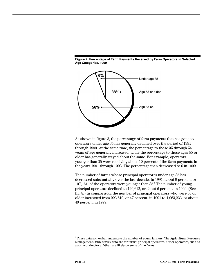



As shown in figure 3, the percentage of farm payments that has gone to operators under age 35 has generally declined over the period of 1991 through 1999. At the same time, the percentage to those 35 through 54 years of age generally increased, while the percentage to those ages 55 or older has generally stayed about the same. For example, operators younger than 35 were receiving about 10 percent of the farm payments in the years 1991 through 1993. The percentage then decreased to 6 in 1999.

The number of farms whose principal operator is under age 35 has decreased substantially over the last decade. In 1991, about 9 percent, or  $197,151$ , of the operators were younger than  $35$ .<sup>6</sup> The number of young principal operators declined to 120,612, or about 6 percent, in 1999. (See fig. 8.) In comparison, the number of principal operators who were 55 or older increased from 993,810, or 47 percent, in 1991 to 1,063,233, or about 49 percent, in 1999.

 <sup>6</sup>  $^{\rm 6}$  These data somewhat understate the number of young farmers. The Agricultural Resource Management Study survey data are for farms' principal operators. Other operators, such as a son working for a father, are likely on some of the farms.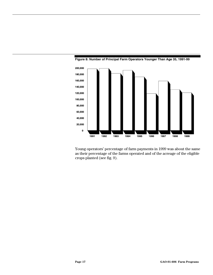



Young operators' percentage of farm payments in 1999 was about the same as their percentage of the farms operated and of the acreage of the eligible crops planted (see fig. 9).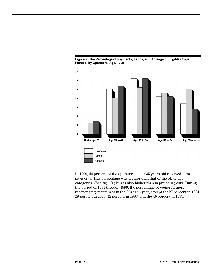



In 1999, 46 percent of the operators under 35 years old received farm payments. This percentage was greater than that of the other age categories. (See fig. 10.) It was also higher than in previous years. During the period of 1991 through 1999, the percentage of young farmers receiving payments was in the 30s each year, except for 27 percent in 1994, 29 percent in 1996, 42 percent in 1993, and the 46 percent in 1999.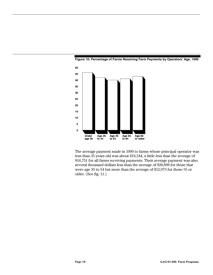



The average payment made in 1999 to farms whose principal operator was less than 35 years old was about \$16,544, a little less than the average of \$16,751 for all farms receiving payments. Their average payment was also several thousand dollars less than the average of \$20,898 for those that were age 35 to 54 but more than the average of \$12,973 for those 55 or older. (See fig. 11.)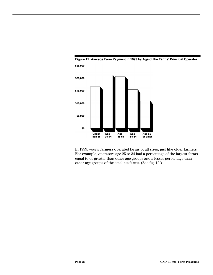



In 1999, young farmers operated farms of all sizes, just like older farmers. For example, operators age 25 to 34 had a percentage of the largest farms equal to or greater than other age groups and a lesser percentage than other age groups of the smallest farms. (See fig. 12.)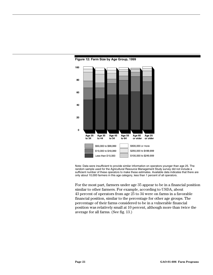

#### **Figure 12: Farm Size by Age Group, 1999**

Note: Data were insufficient to provide similar information on operators younger than age 25. The random sample used for the Agricultural Resource Management Study survey did not include a sufficient number of these operators to make these estimates. Available data indicates that there are only about 10,000 farmers in this age category, less than 1 percent of all operators.

For the most part, farmers under age 35 appear to be in a financial position similar to other farmers. For example, according to USDA, about 43 percent of operators from age 25 to 34 were on farms in a favorable financial position, similar to the percentage for other age groups. The percentage of their farms considered to be in a vulnerable financial position was relatively small at 10 percent, although more than twice the average for all farms. (See fig. 13.)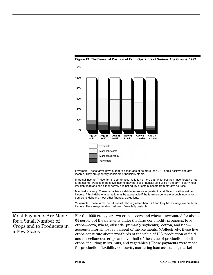

#### **Figure 13: The Financial Position of Farm Operators of Various Age Groups, 1999**

Favorable: These farms have a debt-to-asset ratio of no more than 0.40 and a positive net farm income. They are generally considered financially stable.

Marginal income: These farms' debt-to-asset ratio is no more than 0.40, but they have negative net farm income. Periods of negative income may not pose financial difficulties if the farm is carrying a low debt load and can either borrow against equity or obtain income from off-farm sources.

Marginal solvency: These farms have a debt-to-asset ratio greater than 0.40 and positive net farm income. A high debt to asset ratio may be acceptable if the farm can generate enough income to service its debt and meet other financial obligations.

Vulnerable: These farms' debt-to-asset ratio is greater than 0.40 and they have a negative net farm income. They are generally considered financially unstable.

Most Payments Are Made for a Small Number of Crops and to Producers in a Few States

For the 1999 crop year, two crops—corn and wheat—accounted for about 64 percent of the payments under the farm commodity programs. Five crops—corn, wheat, oilseeds (primarily soybeans), cotton, and rice accounted for almost 93 percent of the payments. (Collectively, these five crops constitute about two-thirds of the value of U.S. production of field and miscellaneous crops and over half of the value of production of all crops, including fruits, nuts, and vegetables.) These payments were made for production flexibility contracts, marketing loan assistance, market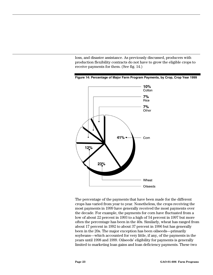loss, and disaster assistance. As previously discussed, producers with production flexibility contracts do not have to grow the eligible crops to receive payments for them. (See fig. 14.)





The percentage of the payments that have been made for the different crops has varied from year to year. Nonetheless, the crops receiving the most payments in 1999 have generally received the most payments over the decade. For example, the payments for corn have fluctuated from a low of about 22 percent in 1993 to a high of 54 percent in 1997 but more often the percentage has been in the 40s. Similarly, wheat has ranged from about 17 percent in 1992 to about 37 percent in 1996 but has generally been in the 20s. The major exception has been oilseeds—primarily soybeans—which accounted for very little, if any, of the payments in the years until 1998 and 1999. Oilseeds' eligibility for payments is generally limited to marketing loan gains and loan deficiency payments. These two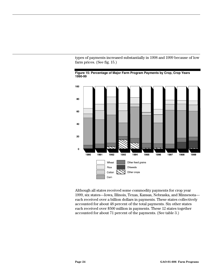types of payments increased substantially in 1998 and 1999 because of low farm prices. (See fig. 15.)





Although all states received some commodity payments for crop year 1999, six states—Iowa, Illinois, Texas, Kansas, Nebraska, and Minnesota each received over a billion dollars in payments. These states collectively accounted for about 48 percent of the total payments. Six other states each received over \$500 million in payments. These 12 states together accounted for about 71 percent of the payments. (See table 3.)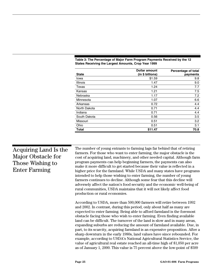| <b>State</b>    | <b>Dollar amount</b><br>(in \$ billions) | Percentage of total<br>payments |
|-----------------|------------------------------------------|---------------------------------|
| Iowa            | \$1.59                                   | 9.8                             |
| <b>Illinois</b> | 1.47                                     | 9.0                             |
| Texas           | 1.24                                     | 7.7                             |
| Kansas          | 1.21                                     | 7.5                             |
| Nebraska        | 1.17                                     | 7.2                             |
| Minnesota       | 1.07                                     | 6.6                             |
| Arkansas        | 0.72                                     | 4.4                             |
| North Dakota    | 0.71                                     | 4.4                             |
| Indiana         | 0.71                                     | 4.4                             |
| South Dakota    | 0.56                                     | 3.5                             |
| Missouri        | 0.51                                     | 3.2                             |
| Ohio            | 0.51                                     | 3.1                             |
| Total           | \$11.47                                  | 70.8                            |

#### **Table 3: The Percentage of Major Farm Program Payments Received by the 12 States Receiving the Largest Amounts, Crop Year 1999**

| Acquiring Land Is the<br>Major Obstacle for<br>Those Wishing to<br><b>Enter Farming</b> | The number of young entrants to farming lags far behind that of retiring<br>farmers. For those who want to enter farming, the major obstacle is the<br>cost of acquiring land, machinery, and other needed capital. Although farm<br>program payments can help beginning farmers, the payments can also<br>make it more difficult to get started because their value is reflected in a<br>higher price for the farmland. While USDA and many states have programs<br>intended to help those wishing to enter farming, the number of young<br>farmers continues to decline. Although some fear that this decline will<br>adversely affect the nation's food security and the economic well-being of<br>rural communities, USDA maintains that it will not likely affect food<br>production or rural economies.                                                                  |
|-----------------------------------------------------------------------------------------|--------------------------------------------------------------------------------------------------------------------------------------------------------------------------------------------------------------------------------------------------------------------------------------------------------------------------------------------------------------------------------------------------------------------------------------------------------------------------------------------------------------------------------------------------------------------------------------------------------------------------------------------------------------------------------------------------------------------------------------------------------------------------------------------------------------------------------------------------------------------------------|
|                                                                                         | According to USDA, more than 500,000 farmers will retire between 1992<br>and 2002. In contrast, during this period, only about half as many are<br>expected to enter farming. Being able to afford farmland is the foremost<br>obstacle facing those who wish to enter farming. Even finding available<br>land can be difficult. The turnover of the land is slow and in many areas,<br>expanding suburbs are reducing the amount of farmland available. Due, in<br>part, to its scarcity, acquiring farmland is an expensive proposition. After a<br>sharp downturn in the early 1980s, land values have since rebounded. For<br>example, according to USDA's National Agricultural Statistics Service, the<br>value of agricultural real estate reached an all-time high of \$1,050 per acre<br>as of January 1, 2000. This value is 75 percent above the low-point of \$599 |

T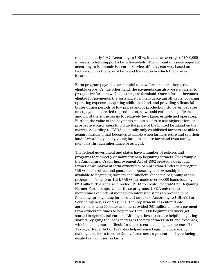reached in early 1987. According to USDA, it takes an average of \$500,000 in assets to fully support a farm household. The amount of assets required, according to Economic Research Service officials, can vary based on factors such as the type of farm and the region in which the farm is located.

Farm program payments are helpful to new farmers once they grow eligible crops. On the other hand, the payments can also pose a barrier to prospective farmers wishing to acquire farmland. Once a farmer becomes eligible for payments, the assistance can help in paying off debts, covering operating expenses, acquiring additional land, and providing a financial buffer during periods of low prices and/or production. However, because most payments are tied to production, as we said earlier, a significant amount of the subsidies go to relatively few, large, established operators. Further, the value of the payments causes sellers to ask higher prices or prospective purchasers to bid up the price of the limited farmland on the market. According to USDA, generally only established farmers are able to acquire farmland that becomes available when farmers retire and sell their land. Accordingly, many young farmers acquire farmland from family members through inheritance or as a gift.

The federal government and states have a number of policies and programs that directly or indirectly help beginning farmers. For example, the Agricultural Credit Improvement Act of 1992 created a beginning farmer down-payment farm ownership loan program. Under this program, USDA makes direct and guaranteed operating and ownership loans available to beginning farmers and ranchers. Since the beginning of this program in fiscal year 1994, USDA has made over 38,000 loans totaling \$2.9 billion. The act also directed USDA to create Federal-State Beginning Farmer Partnerships. Under these programs, USDA enters into memoranda of understanding with interested states to provide joint financing for beginning farmers and ranchers. According to USDA's Farm Service Agency, as of May 2000, the Department has entered into agreements with 16 states and has provided \$87 million in down-payment farm ownership funds to help more than 2,000 beginning farmers get started in agricultural careers. Although these loans are helpful in getting started, repaying the loans increases the new farmers' debt and expenses, which make it more difficult for them to earn an adequate income. The Taxpayer Relief Act of 1997 also helped some beginning farmers by making it easier to transfer family farms across generations by reducing estate tax liabilities on farms.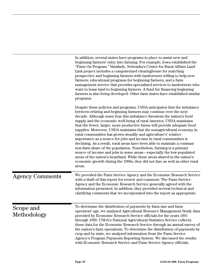|                          | In addition, several states have programs in place to assist new and<br>beginning farmers' entry into farming. For example, Iowa established the<br>"Farm On Program." Similarly, Nebraska's Center for Rural Affairs Land<br>Link project includes a computerized clearinghouse for matching<br>prospective and beginning farmers with landowners willing to help new<br>farmers; educational programs for beginning farmers; and a farm<br>management service that provides specialized services to landowners who<br>want to lease land to beginning farmers. A fund for financing beginning<br>farmers is also being developed. Other farm states have established similar<br>programs.                                                                                                                                                                                                                                                                                                    |
|--------------------------|------------------------------------------------------------------------------------------------------------------------------------------------------------------------------------------------------------------------------------------------------------------------------------------------------------------------------------------------------------------------------------------------------------------------------------------------------------------------------------------------------------------------------------------------------------------------------------------------------------------------------------------------------------------------------------------------------------------------------------------------------------------------------------------------------------------------------------------------------------------------------------------------------------------------------------------------------------------------------------------------|
|                          | Despite these policies and programs, USDA anticipates that the imbalance<br>between retiring and beginning farmers may continue over the next<br>decade. Although some fear this imbalance threatens the nation's food<br>supply and the economic well-being of rural America, USDA maintains<br>that the fewer, larger, more productive farms will provide adequate food<br>supplies. Moreover, USDA maintains that the nonagricultural economy in<br>rural communities has grown steadily and agriculture's' relative<br>importance as a source for jobs and income in rural communities is<br>declining. As a result, rural areas have been able to maintain a constant<br>non-farm share of the population. Nonetheless, farming is a primary<br>source of income and jobs in some areas—especially the low-populated<br>areas of the nation's heartland. While these areas shared in the nation's<br>economic growth during the 1990s, they did not fare as well as other rural<br>areas. |
| <b>Agency Comments</b>   | We provided the Farm Service Agency and the Economic Research Service<br>with a draft of this report for review and comment. The Farm Service<br>Agency and the Economic Research Service generally agreed with the<br>information presented. In addition, they provided several technical and<br>clarifying comments that we incorporated into the report as appropriate.                                                                                                                                                                                                                                                                                                                                                                                                                                                                                                                                                                                                                     |
| Scope and<br>Methodology | To determine the distribution of payments by farm size and farm<br>operators' age, we analyzed Agricultural Resource Management Study data<br>provided by Economic Research Service officials for the years 1991<br>through 1999. USDA's National Agricultural Statistics Service collects<br>these data for the Economic Research Service through an annual survey of<br>the nation's farm operations. To determine the distribution of payments by<br>crop and by state, we analyzed information from the Farm Service<br>Agency's Program Payments Reporting System. We discussed the results<br>with Economic Research Service and Farm Service Agency officials.                                                                                                                                                                                                                                                                                                                          |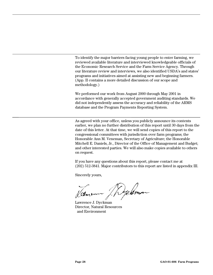To identify the major barriers facing young people to enter farming, we reviewed available literature and interviewed knowledgeable officials of the Economic Research Service and the Farm Service Agency. Through our literature review and interviews, we also identified USDA's and states' programs and initiatives aimed at assisting new and beginning farmers. (App. II contains a more detailed discussion of our scope and methodology.)

We performed our work from August 2000 through May 2001 in accordance with generally accepted government auditing standards. We did not independently assess the accuracy and reliability of the ARMS database and the Program Payments Reporting System.

As agreed with your office, unless you publicly announce its contents earlier, we plan no further distribution of this report until 30 days from the date of this letter. At that time, we will send copies of this report to the congressional committees with jurisdiction over farm programs; the Honorable Ann M. Veneman, Secretary of Agriculture; the Honorable Mitchell E. Daniels, Jr., Director of the Office of Management and Budget; and other interested parties. We will also make copies available to others on request.

If you have any questions about this report, please contact me at (202) 512-3841. Major contributors to this report are listed in appendix III.

Sincerely yours,

Delmon Vamenn

Lawrence J. Dyckman Director, Natural Resources and Environment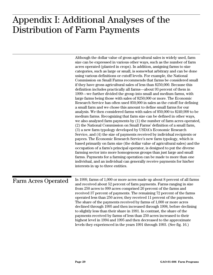## $A: \mathcal{L}$  and  $A$  and  $A$ **Distribution of Farm Payments** Appendix I: Additional Analyses of the Distribution of Farm Payments

|                            | Although the dollar value of gross agricultural sales is widely used, farm<br>size can be expressed in various other ways, such as the number of farm<br>acres operated (planted in crops). In addition, assigning farms to size<br>categories, such as large or small, is somewhat arbitrary and can be done<br>using various definitions or cutoff levels. For example, the National<br>Commission on Small Farms recommends that farms be considered small<br>if they have gross agricultural sales of less than \$250,000. Because this<br>definition includes practically all farms—about 93 percent of them in<br>1999—we further divided the group into small and medium farms, with<br>large farms being those with sales of \$250,000 or more. The Economic<br>Research Service has often used \$50,000 in sales as the cutoff for defining<br>a small farm and we chose this amount to define small farms for our<br>analysis. We then considered farms with sales of \$50,000 to \$249,999 to be<br>medium farms. Recognizing that farm size can be defined in other ways,<br>we also analyzed farm payments by $(1)$ the number of farm acres operated,<br>(2) the National Commission on Small Farms' definition of a small farm,<br>(3) a new farm typology developed by USDA's Economic Research<br>Service, and (4) the size of payments received by individual recipients or<br>payees. The Economic Research Service's new farm typology, which is<br>based primarily on farm size (the dollar value of agricultural sales) and the<br>occupation of a farm's principal operator, is designed to put the diverse<br>farming sector into more homogenous groups than just large and small<br>farms. Payments for a farming operation can be made to more than one<br>individual, and an individual can generally receive payments for his/her<br>interests in up to three entities. |
|----------------------------|------------------------------------------------------------------------------------------------------------------------------------------------------------------------------------------------------------------------------------------------------------------------------------------------------------------------------------------------------------------------------------------------------------------------------------------------------------------------------------------------------------------------------------------------------------------------------------------------------------------------------------------------------------------------------------------------------------------------------------------------------------------------------------------------------------------------------------------------------------------------------------------------------------------------------------------------------------------------------------------------------------------------------------------------------------------------------------------------------------------------------------------------------------------------------------------------------------------------------------------------------------------------------------------------------------------------------------------------------------------------------------------------------------------------------------------------------------------------------------------------------------------------------------------------------------------------------------------------------------------------------------------------------------------------------------------------------------------------------------------------------------------------------------------------------------------------------------------------------------------------------------------------------|
| <b>Farm Acres Operated</b> | In 1999, farms of 1,000 or more acres made up about 8 percent of all farms<br>and received about 52 percent of farm payments. Farms ranging in size<br>from 250 acres to 999 acres comprised 20 percent of the farms and<br>received 37 percent of payments. The remaining 72 percent of the farms<br>operated less than 250 acres; they received 11 percent of the payments.<br>The share of the payments received by farms of 1,000 or more acres<br>declined through 1995 and then increased through 1998, before declining<br>to slightly less than their share in 1991. In contrast, the share of the<br>payments received by farms of less than 250 acres increased to their<br>highest level in 1994 and 1995 and then decreased to the approximate<br>levels they experienced in the years 1991 through 1993. (See fig. 16.)                                                                                                                                                                                                                                                                                                                                                                                                                                                                                                                                                                                                                                                                                                                                                                                                                                                                                                                                                                                                                                                                 |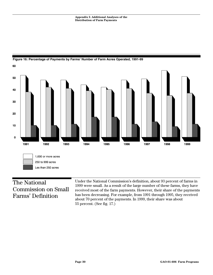



## The National Commission on Small Farms' Definition

Under the National Commission's definition, about 93 percent of farms in 1999 were small. As a result of the large number of these farms, they have received most of the farm payments. However, their share of the payments has been decreasing. For example, from 1991 through 1995, they received about 70 percent of the payments. In 1999, their share was about 55 percent. (See fig. 17.)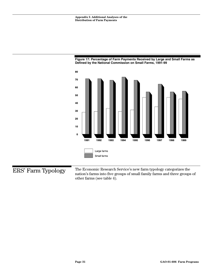



ERS' Farm Typology

The Economic Research Service's new farm typology categorizes the nation's farms into five groups of small family farms and three groups of other farms (see table 4).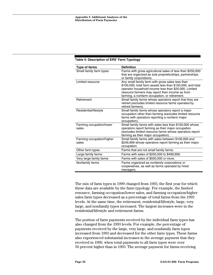| Type of farms                      | <b>Definition</b>                                                                                                                                                                                                                                                             |
|------------------------------------|-------------------------------------------------------------------------------------------------------------------------------------------------------------------------------------------------------------------------------------------------------------------------------|
| Small family farm types            | Farms with gross agricultural sales of less than \$250,000<br>that are organized as sole proprietorships, partnerships,<br>or family corporations.                                                                                                                            |
| Limited resource                   | Any small family farm with gross sales less than<br>\$100,000, total farm assets less than \$150,000, and total<br>operator household income less than \$20,000. Limited<br>resource farmers may report their income as from<br>farming, a nonfarm occupation, or retirement. |
| Retirement                         | Small family farms whose operators report that they are<br>retired (excludes limited resource farms operated by<br>retired farmers).                                                                                                                                          |
| Residential/lifestyle              | Small family farms whose operators report a major<br>occupation other than farming (excludes limited resource<br>farms with operators reporting a nonfarm major<br>occupation).                                                                                               |
| Farming occupation/lower<br>sales  | Small family farms with sales less than \$100,000 whose<br>operators report farming as their major occupation<br>(excludes limited resource farms whose operators report<br>farming as their major occupation).                                                               |
| Farming occupation/higher<br>sales | Small family farms with sales between \$100,000 and<br>\$249,999 whose operators report farming as their major<br>occupation.                                                                                                                                                 |
| Other farm types                   | Farms that are not small family farms.                                                                                                                                                                                                                                        |
| Large family farms                 | Farms with sales of \$250,000 to \$499,999.                                                                                                                                                                                                                                   |
| Very large family farms            | Farms with sales of \$500,000 or more.                                                                                                                                                                                                                                        |
| Nonfamily farms                    | Farms organized as nonfamily corporations or<br>cooperatives, as well as farms operated by hired<br>managers.                                                                                                                                                                 |

#### **Table 4: Description of ERS' Farm Typology**

The mix of farm types in 1999 changed from 1993, the first year for which these data are available by the farm typology. For example, the limited resource, farming occupation/lower sales, and farming occupation/higher sales farm types decreased as a percentage of total farms from the 1993 levels. At the same time, the retirement, residential/lifestyle, large, very large, and nonfamily types increased. The largest increases were in the residential/lifestyle and retirement farms.

The portion of farm payments received by the individual farm types has also changed from the 1993 levels. For example, the percentage of payments received by the large, very large, and nonfamily farm types increased from 1993 and decreased for the other farm types. These farms also experienced substantial increases in the average payment that they received in 1999, when total payments to all farm types were over 50 percent higher than in 1993. The average payment for farms receiving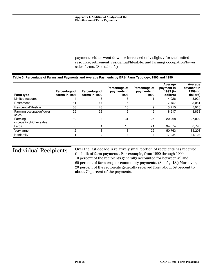payments either went down or increased only slightly for the limited resource, retirement, residential/lifestyle, and farming occupation/lower sales farms. (See table 5.)

#### **Table 5: Percentage of Farms and Payments and Average Payments by ERS' Farm Typology, 1993 and 1999**

| Farm type                          | Percentage of<br>farms in 1993 | Percentage of<br>farms in 1999 | Percentage of<br>payments in<br>1993 | Percentage of<br>payments in<br>1999 | Average<br>payment in<br>1993 (in<br>dollars) | Average<br>payment in<br>1999 (in<br>dollars) |
|------------------------------------|--------------------------------|--------------------------------|--------------------------------------|--------------------------------------|-----------------------------------------------|-----------------------------------------------|
| Limited resource                   | 14                             | 6                              | 3                                    |                                      | 4,026                                         | 3,924                                         |
| Retirement                         | 11                             | 14                             | 5                                    | 3                                    | 7,457                                         | 5,061                                         |
| Residential/lifestyle              | 33                             | 43                             | 10                                   | 9                                    | 5.715                                         | 5,016                                         |
| Farming occupation/lower<br>sales  | 25                             | 22                             | 19                                   | 15                                   | 8,517                                         | 8,833                                         |
| Farming<br>occupation/higher sales | 10                             | 8                              | 31                                   | 25                                   | 20.268                                        | 27,022                                        |
| Large                              | 3                              |                                | 18                                   | 21                                   | 34.674                                        | 50,790                                        |
| Very large                         | $\overline{c}$                 | 3                              | 13                                   | 22                                   | 50.763                                        | 85,208                                        |
| Nonfamily                          |                                | 2                              | 3                                    | 4                                    | 17.934                                        | 34,128                                        |

Individual Recipients

Over the last decade, a relatively small portion of recipients has received the bulk of farm payments. For example, from 1990 through 1999, 10 percent of the recipients generally accounted for between 49 and 60 percent of farm crop or commodity payments. (See fig. 18.) Moreover, 20 percent of the recipients generally received from about 69 percent to about 79 percent of the payments.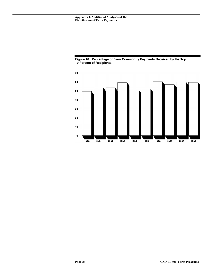

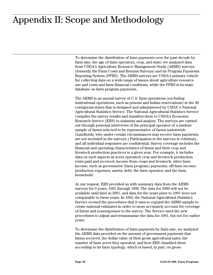## **Appendix II: Scope and Methodology** Appendix II: Scope and Methodology

To determine the distribution of farm payments over the past decade by farm size, the age of farm operators, crop, and state, we analyzed data from USDA's Agriculture Resource Management Study (ARMS) surveys (formerly the Farm Costs and Returns Surveys) and its Program Payments Reporting System (PPRS). The ARMS surveys are USDA's primary vehicle for collecting data on a wide range of issues about agriculture resource use and costs and farm financial conditions, while the PPRS is its main database on farm program payments.

The ARMS is an annual survey of U.S. farm operations (excluding institutional operations, such as prisons and Indian reservations) in the 48 contiguous states that is designed and administered by USDA' s National Agricultural Statistics Service. The National Agricultural Statistics Service compiles the survey results and transfers them to USDA's Economic Research Service (ERS) to maintain and analyze. The surveys are carried out through personal interviews of the principal operator of a random sample of farms selected to be representative of farms nationwide. (Landlords, who under certain circumstances may receive farm payments, are not included in the surveys.) Participation in the surveys is voluntary, and all individual responses are confidential. Survey coverage includes the financial and operating characteristics of farms and their crop and livestock production practices in a given year. For example, it includes data on such aspects as acres operated; crop and livestock production; rents paid and received; income from crops and livestock; other farm income, such as government (farm program) payments; off-farm income; production expenses; assets; debt; the farm operator; and the farm household.

At our request, ERS provided us with summary data from the ARMS surveys for 9 years, 1991 through 1999. The data for 2000 will not be available until later in 2001, and data for the years prior to 1991 were not comparable to these years. In 1992, the National Agricultural Statistics Service revised the procedures that it uses to expand the ARMS sample to create national estimates in order to more accurately account for coverage of farms and nonresponses to the survey. The Service used the new procedures to adjust and resummarize the data for 1991, but not for earlier years.

To determine the distribution of farm payments by farm size, we analyzed the ARMS data provided on the amount of government payments that farms received, the dollar value of their gross agricultural sales, the number of farm acres they operated, and how ERS classified them according to its farm typology, which is based, in part, on gross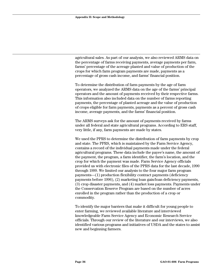agricultural sales. As part of our analysis, we also reviewed ARMS data on the percentage of farms receiving payments, average payments per farm, farms' percentage of the acreage planted and value of production of the crops for which farm program payments are made, payments as a percentage of gross cash income, and farms' financial position.

To determine the distribution of farm payments by the age of farm operators, we analyzed the ARMS data on the age of the farms' principal operators and the amount of payments received by their respective farms. This information also included data on the number of farms reporting payments, the percentage of planted acreage and the value of production of crops eligible for farm payments, payments as a percent of gross cash income, average payments, and the farms' financial position.

The ARMS surveys ask for the amount of payments received by farms under all federal and state agricultural programs. According to ERS staff, very little, if any, farm payments are made by states.

We used the PPRS to determine the distribution of farm payments by crop and state. The PPRS, which is maintained by the Farm Service Agency, contains a record of the individual payments made under the federal agricultural programs. These data include the payee's name, the amount of the payment, the program, a farm identifier, the farm's location, and the crop for which the payment was made. Farm Service Agency officials provided us with electronic files of the PPRS data for the last decade, 1990 through 1999. We limited our analysis to the four major farm program payments—(1) production flexibility contract payments (deficiency payments before 1996), (2) marketing loan gain/loan deficiency payments, (3) crop disaster payments, and (4) market loss payments. Payments under the Conservation Reserve Program are based on the number of acres enrolled in the program rather than the production of a crop or commodity.

To identify the major barriers that make it difficult for young people to enter farming, we reviewed available literature and interviewed knowledgeable Farm Service Agency and Economic Research Service officials. Through our review of the literature and our interviews, we also identified various programs and initiatives of USDA and the states to assist new and beginning farmers.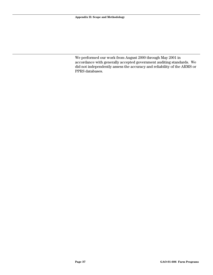We performed our work from August 2000 through May 2001 in accordance with generally accepted government auditing standards. We did not independently assess the accuracy and reliability of the ARMS or PPRS databases.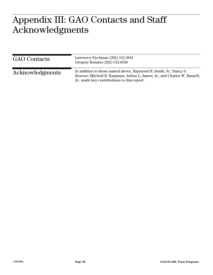## $\Lambda \cap \Gamma$ **AUL** Appendix III: GAO Contacts and Staff Acknowledgments

| <b>GAO</b> Contacts | Lawrence Dyckman (202) 512-3841<br>Gregory Kosarin (202) 512-6526                                                                                                                              |
|---------------------|------------------------------------------------------------------------------------------------------------------------------------------------------------------------------------------------|
| Acknowledgments     | In addition to those named above, Raymond H. Smith, Jr.; Nancy S.<br>Bowser; Mitchell B. Karpman; Arthur L. James, Jr.; and Charles W. Bausell,<br>Jr., made key contributions to this report. |